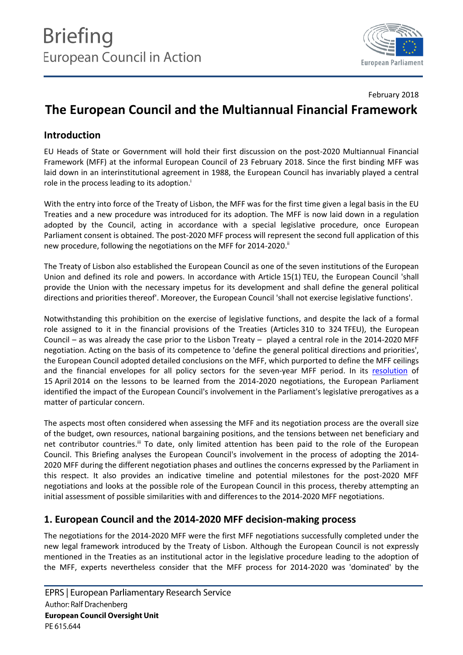

#### February 2018

# **The European Council and the Multiannual Financial Framework**

# **Introduction**

EU Heads of State or Government will hold their first discussion on the post-2020 Multiannual Financial Framework (MFF) at the informal European Council of 23 February 2018. Since the first binding MFF was laid down in an interinstitutional agreement in 1988, the European Council has invariably played a central role in the process leading to its adoption.<sup>i</sup>

With the entry into force of the Treaty of Lisbon, the MFF was for the first time given a legal basis in the EU Treaties and a new procedure was introduced for its adoption. The MFF is now laid down in a regulation adopted by the Council, acting in accordance with a special legislative procedure, once European Parliament consent is obtained. The post-2020 MFF process will represent the second full application of this new procedure, following the negotiations on the MFF for 2014-2020.<sup>ii</sup>

The Treaty of Lisbon also established the European Council as one of the seven institutions of the European Union and defined its role and powers. In accordance with Article 15(1) TEU, the European Council 'shall provide the Union with the necessary impetus for its development and shall define the general political directions and priorities thereof'. Moreover, the European Council 'shall not exercise legislative functions'.

Notwithstanding this prohibition on the exercise of legislative functions, and despite the lack of a formal role assigned to it in the financial provisions of the Treaties (Articles 310 to 324 TFEU), the European Council – as was already the case prior to the Lisbon Treaty – played a central role in the 2014-2020 MFF negotiation. Acting on the basis of its competence to 'define the general political directions and priorities', the European Council adopted detailed conclusions on the MFF, which purported to define the MFF ceilings and the financial envelopes for all policy sectors for the seven-year MFF period. In its [resolution](http://www.europarl.europa.eu/sides/getDoc.do?type=TA&language=EN&reference=P7-TA-2014-0378) of 15 April 2014 on the lessons to be learned from the 2014-2020 negotiations, the European Parliament identified the impact of the European Council's involvement in the Parliament's legislative prerogatives as a matter of particular concern.

The aspects most often considered when assessing the MFF and its negotiation process are the overall size of the budget, own resources, national bargaining positions, and the tensions between net beneficiary and net contributor countries.<sup>ii</sup> To date, only limited attention has been paid to the role of the European Council. This Briefing analyses the European Council's involvement in the process of adopting the 2014- 2020 MFF during the different negotiation phases and outlines the concerns expressed by the Parliament in this respect. It also provides an indicative timeline and potential milestones for the post-2020 MFF negotiations and looks at the possible role of the European Council in this process, thereby attempting an initial assessment of possible similarities with and differences to the 2014-2020 MFF negotiations.

# **1. European Council and the 2014-2020 MFF decision-making process**

The negotiations for the 2014-2020 MFF were the first MFF negotiations successfully completed under the new legal framework introduced by the Treaty of Lisbon. Although the European Council is not expressly mentioned in the Treaties as an institutional actor in the legislative procedure leading to the adoption of the MFF, experts nevertheless consider that the MFF process for 2014-2020 was 'dominated' by the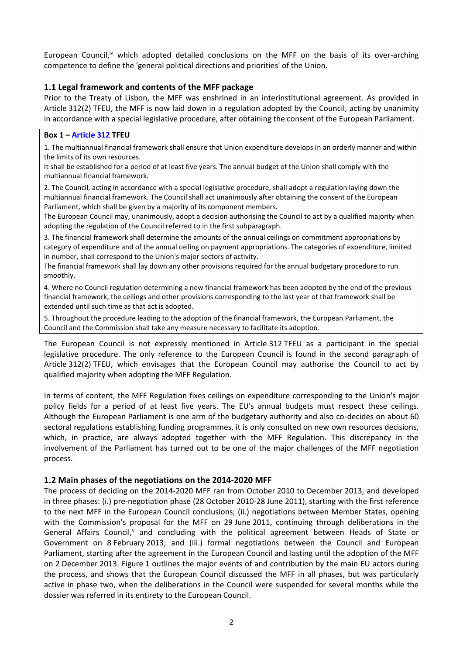European Council,<sup>iv</sup> which adopted detailed conclusions on the MFF on the basis of its over-arching competence to define the 'general political directions and priorities' of the Union.

### **1.1 Legal framework and contents of the MFF package**

Prior to the Treaty of Lisbon, the MFF was enshrined in an interinstitutional agreement. As provided in Article 312(2) TFEU, the MFF is now laid down in a regulation adopted by the Council, acting by unanimity in accordance with a special legislative procedure, after obtaining the consent of the European Parliament.

#### **Box 1 – [Article 312](http://www.lisbon-treaty.org/wcm/the-lisbon-treaty/treaty-on-the-functioning-of-the-european-union-and-comments/part-6-institutional-and-financial-provisions/title-2-financial-provisions/chapter-2-the-multiannual-financial-framework/632-article-312.html) TFEU**

1. The multiannual financial framework shall ensure that Union expenditure develops in an orderly manner and within the limits of its own resources.

It shall be established for a period of at least five years. The annual budget of the Union shall comply with the multiannual financial framework.

2. The Council, acting in accordance with a special legislative procedure, shall adopt a regulation laying down the multiannual financial framework. The Council shall act unanimously after obtaining the consent of the European Parliament, which shall be given by a majority of its component members.

The European Council may, unanimously, adopt a decision authorising the Council to act by a qualified majority when adopting the regulation of the Council referred to in the first subparagraph.

3. The financial framework shall determine the amounts of the annual ceilings on commitment appropriations by category of expenditure and of the annual ceiling on payment appropriations. The categories of expenditure, limited in number, shall correspond to the Union's major sectors of activity.

The financial framework shall lay down any other provisions required for the annual budgetary procedure to run smoothly.

4. Where no Council regulation determining a new financial framework has been adopted by the end of the previous financial framework, the ceilings and other provisions corresponding to the last year of that framework shall be extended until such time as that act is adopted.

5. Throughout the procedure leading to the adoption of the financial framework, the European Parliament, the Council and the Commission shall take any measure necessary to facilitate its adoption.

The European Council is not expressly mentioned in Article 312 TFEU as a participant in the special legislative procedure. The only reference to the European Council is found in the second paragraph of Article 312(2) TFEU, which envisages that the European Council may authorise the Council to act by qualified majority when adopting the MFF Regulation.

In terms of content, the MFF Regulation fixes ceilings on expenditure corresponding to the Union's major policy fields for a period of at least five years. The EU's annual budgets must respect these ceilings. Although the European Parliament is one arm of the budgetary authority and also co-decides on about 60 sectoral regulations establishing funding programmes, it is only consulted on new own resources decisions, which, in practice, are always adopted together with the MFF Regulation. This discrepancy in the involvement of the Parliament has turned out to be one of the major challenges of the MFF negotiation process.

#### **1.2 Main phases of the negotiations on the 2014-2020 MFF**

The process of deciding on the 2014-2020 MFF ran from October 2010 to December 2013, and developed in three phases: (i.) pre-negotiation phase (28 October 2010-28 June 2011), starting with the first reference to the next MFF in the European Council conclusions; (ii.) negotiations between Member States, opening with the Commission's proposal for the MFF on 29 June 2011, continuing through deliberations in the General Affairs Council,<sup>v</sup> and concluding with the political agreement between Heads of State or Government on 8 February 2013; and (iii.) formal negotiations between the Council and European Parliament, starting after the agreement in the European Council and lasting until the adoption of the MFF on 2 December 2013. Figure 1 outlines the major events of and contribution by the main EU actors during the process, and shows that the European Council discussed the MFF in all phases, but was particularly active in phase two, when the deliberations in the Council were suspended for several months while the dossier was referred in its entirety to the European Council.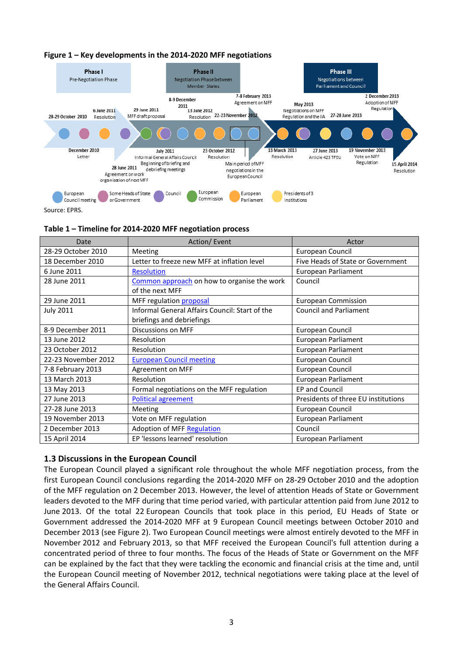



Source: EPRS.

**Table 1 – Timeline for 2014-2020 MFF negotiation process** 

| Date                | Action/Event                                   | Actor                               |
|---------------------|------------------------------------------------|-------------------------------------|
| 28-29 October 2010  | Meeting                                        | European Council                    |
| 18 December 2010    | Letter to freeze new MFF at inflation level    | Five Heads of State or Government   |
| 6 June 2011         | <b>Resolution</b>                              | European Parliament                 |
| 28 June 2011        | Common approach on how to organise the work    | Council                             |
|                     | of the next MFF                                |                                     |
| 29 June 2011        | MFF regulation proposal                        | <b>European Commission</b>          |
| <b>July 2011</b>    | Informal General Affairs Council: Start of the | <b>Council and Parliament</b>       |
|                     | briefings and debriefings                      |                                     |
| 8-9 December 2011   | <b>Discussions on MFF</b>                      | European Council                    |
| 13 June 2012        | Resolution                                     | European Parliament                 |
| 23 October 2012     | Resolution                                     | European Parliament                 |
| 22-23 November 2012 | <b>European Council meeting</b>                | European Council                    |
| 7-8 February 2013   | Agreement on MFF                               | European Council                    |
| 13 March 2013       | Resolution                                     | European Parliament                 |
| 13 May 2013         | Formal negotiations on the MFF regulation      | <b>EP and Council</b>               |
| 27 June 2013        | Political agreement                            | Presidents of three EU institutions |
| 27-28 June 2013     | Meeting                                        | European Council                    |
| 19 November 2013    | Vote on MFF regulation                         | European Parliament                 |
| 2 December 2013     | <b>Adoption of MFF Regulation</b>              | Council                             |
| 15 April 2014       | EP 'lessons learned' resolution                | European Parliament                 |

### **1.3 Discussions in the European Council**

The European Council played a significant role throughout the whole MFF negotiation process, from the first European Council conclusions regarding the 2014-2020 MFF on 28-29 October 2010 and the adoption of the MFF regulation on 2 December 2013. However, the level of attention Heads of State or Government leaders devoted to the MFF during that time period varied, with particular attention paid from June 2012 to June 2013. Of the total 22 European Councils that took place in this period, EU Heads of State or Government addressed the 2014-2020 MFF at 9 European Council meetings between October 2010 and December 2013 (see Figure 2). Two European Council meetings were almost entirely devoted to the MFF in November 2012 and February 2013, so that MFF received the European Council's full attention during a concentrated period of three to four months. The focus of the Heads of State or Government on the MFF can be explained by the fact that they were tackling the economic and financial crisis at the time and, until the European Council meeting of November 2012, technical negotiations were taking place at the level of the General Affairs Council.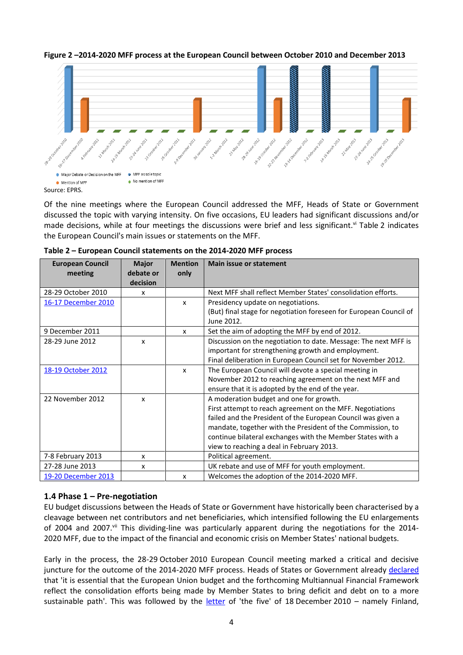

**Figure 2 –2014-2020 MFF process at the European Council between October 2010 and December 2013**

Of the nine meetings where the European Council addressed the MFF, Heads of State or Government discussed the topic with varying intensity. On five occasions, EU leaders had significant discussions and/or made decisions, while at four meetings the discussions were brief and less significant.<sup>vi</sup> Table 2 indicates the European Council's main issues or statements on the MFF.

| <b>European Council</b> | <b>Major</b> | <b>Mention</b>            | <b>Main issue or statement</b>                                     |
|-------------------------|--------------|---------------------------|--------------------------------------------------------------------|
| meeting                 | debate or    | only                      |                                                                    |
|                         | decision     |                           |                                                                    |
| 28-29 October 2010      | x            |                           | Next MFF shall reflect Member States' consolidation efforts.       |
| 16-17 December 2010     |              | $\boldsymbol{\mathsf{x}}$ | Presidency update on negotiations.                                 |
|                         |              |                           | (But) final stage for negotiation foreseen for European Council of |
|                         |              |                           | June 2012.                                                         |
| 9 December 2011         |              | $\boldsymbol{\mathsf{x}}$ | Set the aim of adopting the MFF by end of 2012.                    |
| 28-29 June 2012         | x            |                           | Discussion on the negotiation to date. Message: The next MFF is    |
|                         |              |                           | important for strengthening growth and employment.                 |
|                         |              |                           | Final deliberation in European Council set for November 2012.      |
| 18-19 October 2012      |              | $\mathsf{x}$              | The European Council will devote a special meeting in              |
|                         |              |                           | November 2012 to reaching agreement on the next MFF and            |
|                         |              |                           | ensure that it is adopted by the end of the year.                  |
| 22 November 2012        | X            |                           | A moderation budget and one for growth.                            |
|                         |              |                           | First attempt to reach agreement on the MFF. Negotiations          |
|                         |              |                           | failed and the President of the European Council was given a       |
|                         |              |                           | mandate, together with the President of the Commission, to         |
|                         |              |                           | continue bilateral exchanges with the Member States with a         |
|                         |              |                           | view to reaching a deal in February 2013.                          |
| 7-8 February 2013       | x            |                           | Political agreement.                                               |
| 27-28 June 2013         | x            |                           | UK rebate and use of MFF for youth employment.                     |
| 19-20 December 2013     |              | $\boldsymbol{\mathsf{x}}$ | Welcomes the adoption of the 2014-2020 MFF.                        |

**Table 2 – European Council statements on the 2014-2020 MFF process**

# **1.4 Phase 1 – Pre-negotiation**

EU budget discussions between the Heads of State or Government have historically been characterised by a cleavage between net contributors and net beneficiaries, which intensified following the EU enlargements of 2004 and 2007.<sup>vii</sup> This dividing-line was particularly apparent during the negotiations for the 2014-2020 MFF, due to the impact of the financial and economic crisis on Member States' national budgets.

Early in the process, the 28-29 October 2010 European Council meeting marked a critical and decisive juncture for the outcome of the 2014-2020 MFF process. Heads of States or Government already [declared](http://data.consilium.europa.eu/doc/document/ST-25-2010-INIT/en/pdf) that 'it is essential that the European Union budget and the forthcoming Multiannual Financial Framework reflect the consolidation efforts being made by Member States to bring deficit and debt on to a more sustainable path'. This was followed by the [letter](https://www.gov.uk/government/news/letter-to-president-of-european-commission) of 'the five' of 18 December 2010 – namely Finland,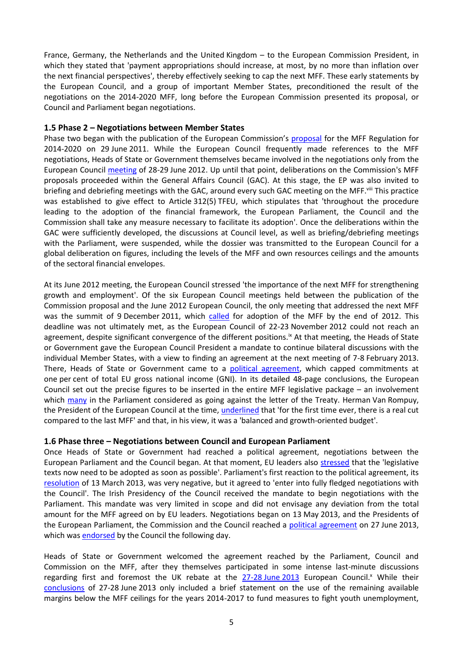France, Germany, the Netherlands and the United Kingdom – to the European Commission President, in which they stated that 'payment appropriations should increase, at most, by no more than inflation over the next financial perspectives', thereby effectively seeking to cap the next MFF. These early statements by the European Council, and a group of important Member States, preconditioned the result of the negotiations on the 2014-2020 MFF, long before the European Commission presented its proposal, or Council and Parliament began negotiations.

### **1.5 Phase 2 – Negotiations between Member States**

Phase two began with the publication of the European Commission's [proposal](http://www.europarl.europa.eu/registre/docs_autres_institutions/commission_europeenne/com/2011/0398/COM_COM%282011%290398_EN.pdf) for the MFF Regulation for 2014-2020 on 29 June 2011. While the European Council frequently made references to the MFF negotiations, Heads of State or Government themselves became involved in the negotiations only from the European Council [meeting](http://data.consilium.europa.eu/doc/document/ST-76-2012-INIT/en/pdf) of 28-29 June 2012. Up until that point, deliberations on the Commission's MFF proposals proceeded within the General Affairs Council (GAC). At this stage, the EP was also invited to briefing and debriefing meetings with the GAC, around every such GAC meeting on the MFF. Viii This practice was established to give effect to Article 312(5) TFEU, which stipulates that 'throughout the procedure leading to the adoption of the financial framework, the European Parliament, the Council and the Commission shall take any measure necessary to facilitate its adoption'. Once the deliberations within the GAC were sufficiently developed, the discussions at Council level, as well as briefing/debriefing meetings with the Parliament, were suspended, while the dossier was transmitted to the European Council for a global deliberation on figures, including the levels of the MFF and own resources ceilings and the amounts of the sectoral financial envelopes.

At its June 2012 meeting, the European Council stressed 'the importance of the next MFF for strengthening growth and employment'. Of the six European Council meetings held between the publication of the Commission proposal and the June 2012 European Council, the only meeting that addressed the next MFF was the summit of 9 December 2011, which [called](http://data.consilium.europa.eu/doc/document/ST-139-2011-REV-1/en/pdf) for adoption of the MFF by the end of 2012. This deadline was not ultimately met, as the European Council of 22-23 November 2012 could not reach an agreement, despite significant convergence of the different positions.<sup>ix</sup> At that meeting, the Heads of State or Government gave the European Council President a mandate to continue bilateral discussions with the individual Member States, with a view to finding an agreement at the next meeting of 7-8 February 2013. There, Heads of State or Government came to a [political agreement,](https://www.consilium.europa.eu/uedocs/cms_data/docs/pressdata/en/ec/135344.pdf) which capped commitments at one per cent of total EU gross national income (GNI). In its detailed 48-page conclusions, the European Council set out the precise figures to be inserted in the entire MFF legislative package – an involvement which [many](http://www.europarl.europa.eu/sides/getDoc.do?pubRef=-//EP//TEXT+TA+P7-TA-2013-0078+0+DOC+XML+V0//EN) in the Parliament considered as going against the letter of the Treaty. Herman Van Rompuy, the President of the European Council at the time, [underlined](http://europa.eu/rapid/press-release_PRES-13-48_en.htm) that 'for the first time ever, there is a real cut compared to the last MFF' and that, in his view, it was a 'balanced and growth-oriented budget'.

### **1.6 Phase three – Negotiations between Council and European Parliament**

Once Heads of State or Government had reached a political agreement, negotiations between the European Parliament and the Council began. At that moment, EU leaders also [stressed](http://data.consilium.europa.eu/doc/document/ST-37-2013-INIT/en/pdf) that the 'legislative texts now need to be adopted as soon as possible'. Parliament's first reaction to the political agreement, its [resolution](http://www.europarl.europa.eu/sides/getDoc.do?pubRef=-//EP//TEXT+TA+P7-TA-2013-0078+0+DOC+XML+V0//EN) of 13 March 2013, was very negative, but it agreed to 'enter into fully fledged negotiations with the Council'. The Irish Presidency of the Council received the mandate to begin negotiations with the Parliament. This mandate was very limited in scope and did not envisage any deviation from the total amount for the MFF agreed on by EU leaders. Negotiations began on 13 May 2013, and the Presidents of the European Parliament, the Commission and the Council reached a [political agreement](http://europa.eu/rapid/press-release_SPEECH-13-583_en.htm) on 27 June 2013, which wa[s endorsed](http://register.consilium.europa.eu/doc/srv?l=EN&f=ST%2011732%202013%20INIT) by the Council the following day.

Heads of State or Government welcomed the agreement reached by the Parliament, Council and Commission on the MFF, after they themselves participated in some intense last-minute discussions regarding first and foremost the UK rebate at the [27-28](http://data.consilium.europa.eu/doc/document/ST-104-2013-REV-2/en/pdf) June 2013 European Council.<sup>x</sup> While their [conclusions](http://data.consilium.europa.eu/doc/document/ST-104-2013-REV-2/en/pdf) of 27-28 June 2013 only included a brief statement on the use of the remaining available margins below the MFF ceilings for the years 2014-2017 to fund measures to fight youth unemployment,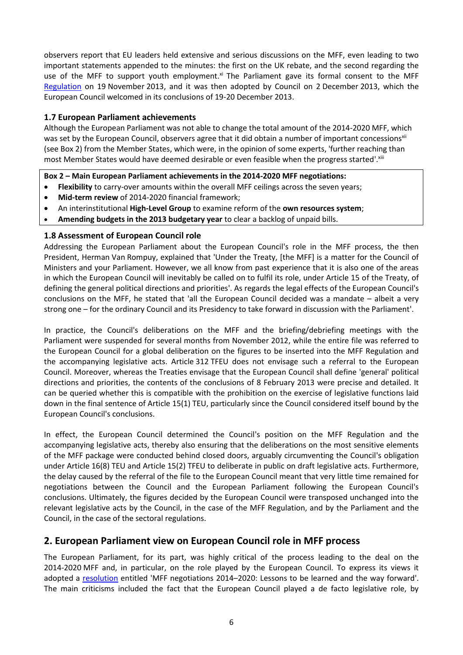observers report that EU leaders held extensive and serious discussions on the MFF, even leading to two important statements appended to the minutes: the first on the UK rebate, and the second regarding the use of the MFF to support youth employment.<sup>xi</sup> The Parliament gave its formal consent to the MFF [Regulation](http://eur-lex.europa.eu/legal-content/EN/TXT/?uri=CELEX%3A32013R1311) on 19 November 2013, and it was then adopted by Council on 2 December 2013, which the European Council welcomed in its conclusions of 19-20 December 2013.

## **1.7 European Parliament achievements**

Although the European Parliament was not able to change the total amount of the 2014-2020 MFF, which was set by the European Council, observers agree that it did obtain a number of important concessions<sup>xii</sup> (see Box 2) from the Member States, which were, in the opinion of some experts, 'further reaching than most Member States would have deemed desirable or even feasible when the progress started'. xiii

### **Box 2 – Main European Parliament achievements in the 2014-2020 MFF negotiations:**

- **Flexibility** to carry-over amounts within the overall MFF ceilings across the seven years;
- **Mid-term review** of 2014-2020 financial framework;
- An interinstitutional **High-Level Group** to examine reform of the **own resources system**;
- **Amending budgets in the 2013 budgetary year** to clear a backlog of unpaid bills.

### **1.8 Assessment of European Council role**

Addressing the European Parliament about the European Council's role in the MFF process, the then President, Herman Van Rompuy, explained that 'Under the Treaty, [the MFF] is a matter for the Council of Ministers and your Parliament. However, we all know from past experience that it is also one of the areas in which the European Council will inevitably be called on to fulfil its role, under Article 15 of the Treaty, of defining the general political directions and priorities'. As regards the legal effects of the European Council's conclusions on the MFF, he stated that 'all the European Council decided was a mandate – albeit a very strong one – for the ordinary Council and its Presidency to take forward in discussion with the Parliament'.

In practice, the Council's deliberations on the MFF and the briefing/debriefing meetings with the Parliament were suspended for several months from November 2012, while the entire file was referred to the European Council for a global deliberation on the figures to be inserted into the MFF Regulation and the accompanying legislative acts. Article 312 TFEU does not envisage such a referral to the European Council. Moreover, whereas the Treaties envisage that the European Council shall define 'general' political directions and priorities, the contents of the conclusions of 8 February 2013 were precise and detailed. It can be queried whether this is compatible with the prohibition on the exercise of legislative functions laid down in the final sentence of Article 15(1) TEU, particularly since the Council considered itself bound by the European Council's conclusions.

In effect, the European Council determined the Council's position on the MFF Regulation and the accompanying legislative acts, thereby also ensuring that the deliberations on the most sensitive elements of the MFF package were conducted behind closed doors, arguably circumventing the Council's obligation under Article 16(8) TEU and Article 15(2) TFEU to deliberate in public on draft legislative acts. Furthermore, the delay caused by the referral of the file to the European Council meant that very little time remained for negotiations between the Council and the European Parliament following the European Council's conclusions. Ultimately, the figures decided by the European Council were transposed unchanged into the relevant legislative acts by the Council, in the case of the MFF Regulation, and by the Parliament and the Council, in the case of the sectoral regulations.

# **2. European Parliament view on European Council role in MFF process**

The European Parliament, for its part, was highly critical of the process leading to the deal on the 2014-2020 MFF and, in particular, on the role played by the European Council. To express its views it adopted a [resolution](http://www.europarl.europa.eu/sides/getDoc.do?pubRef=-//EP//TEXT+REPORT+A7-2014-0254+0+DOC+XML+V0//EN) entitled 'MFF negotiations 2014–2020: Lessons to be learned and the way forward'. The main criticisms included the fact that the European Council played a de facto legislative role, by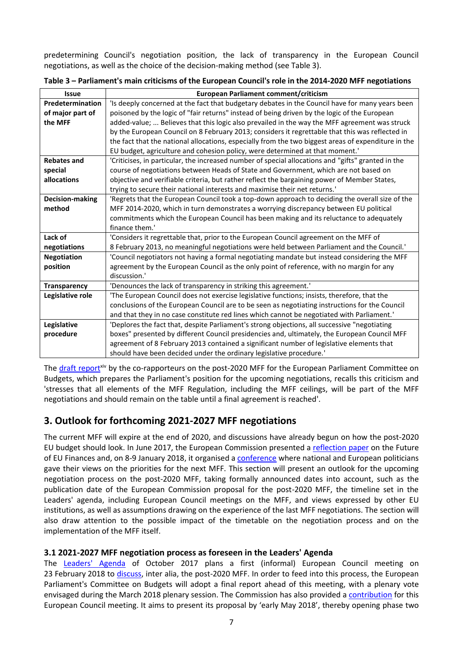predetermining Council's negotiation position, the lack of transparency in the European Council negotiations, as well as the choice of the decision-making method (see Table 3).

| <b>Issue</b>        | European Parliament comment/criticism                                                               |  |  |
|---------------------|-----------------------------------------------------------------------------------------------------|--|--|
| Predetermination    | 'Is deeply concerned at the fact that budgetary debates in the Council have for many years been     |  |  |
| of major part of    | poisoned by the logic of "fair returns" instead of being driven by the logic of the European        |  |  |
| the MFF             | added-value;  Believes that this logic also prevailed in the way the MFF agreement was struck       |  |  |
|                     | by the European Council on 8 February 2013; considers it regrettable that this was reflected in     |  |  |
|                     | the fact that the national allocations, especially from the two biggest areas of expenditure in the |  |  |
|                     | EU budget, agriculture and cohesion policy, were determined at that moment.'                        |  |  |
| <b>Rebates and</b>  | 'Criticises, in particular, the increased number of special allocations and "gifts" granted in the  |  |  |
| special             | course of negotiations between Heads of State and Government, which are not based on                |  |  |
| allocations         | objective and verifiable criteria, but rather reflect the bargaining power of Member States,        |  |  |
|                     | trying to secure their national interests and maximise their net returns.'                          |  |  |
| Decision-making     | 'Regrets that the European Council took a top-down approach to deciding the overall size of the     |  |  |
| method              | MFF 2014-2020, which in turn demonstrates a worrying discrepancy between EU political               |  |  |
|                     | commitments which the European Council has been making and its reluctance to adequately             |  |  |
|                     | finance them.'                                                                                      |  |  |
| Lack of             | 'Considers it regrettable that, prior to the European Council agreement on the MFF of               |  |  |
| negotiations        | 8 February 2013, no meaningful negotiations were held between Parliament and the Council.'          |  |  |
| <b>Negotiation</b>  | 'Council negotiators not having a formal negotiating mandate but instead considering the MFF        |  |  |
| position            | agreement by the European Council as the only point of reference, with no margin for any            |  |  |
|                     | discussion.'                                                                                        |  |  |
| <b>Transparency</b> | 'Denounces the lack of transparency in striking this agreement.'                                    |  |  |
| Legislative role    | 'The European Council does not exercise legislative functions; insists, therefore, that the         |  |  |
|                     | conclusions of the European Council are to be seen as negotiating instructions for the Council      |  |  |
|                     | and that they in no case constitute red lines which cannot be negotiated with Parliament.'          |  |  |
| Legislative         | 'Deplores the fact that, despite Parliament's strong objections, all successive "negotiating        |  |  |
| procedure           | boxes" presented by different Council presidencies and, ultimately, the European Council MFF        |  |  |
|                     | agreement of 8 February 2013 contained a significant number of legislative elements that            |  |  |
|                     | should have been decided under the ordinary legislative procedure.'                                 |  |  |

| Table 3 - Parliament's main criticisms of the European Council's role in the 2014-2020 MFF negotiations |
|---------------------------------------------------------------------------------------------------------|
|---------------------------------------------------------------------------------------------------------|

The [draft report](http://www.europarl.europa.eu/oeil/popups/ficheprocedure.do?lang=&reference=2017/2052(INI)))xiv by the co-rapporteurs on the post-2020 MFF for the European Parliament Committee on Budgets, which prepares the Parliament's position for the upcoming negotiations, recalls this criticism and 'stresses that all elements of the MFF Regulation, including the MFF ceilings, will be part of the MFF negotiations and should remain on the table until a final agreement is reached'.

# **3. Outlook for forthcoming 2021-2027 MFF negotiations**

The current MFF will expire at the end of 2020, and discussions have already begun on how the post-2020 EU budget should look. In June 2017, the European Commission presented a [reflection paper](https://ec.europa.eu/commission/sites/beta-political/files/reflection-paper-eu-finances_en.pdf) on the Future of EU Finances and, on 8-9 January 2018, it organised a [conference](https://ec.europa.eu/epsc/events/shaping-our-future-designing-next-multiannual-financial-framework_en) where national and European politicians gave their views on the priorities for the next MFF. This section will present an outlook for the upcoming negotiation process on the post-2020 MFF, taking formally announced dates into account, such as the publication date of the European Commission proposal for the post-2020 MFF, the timeline set in the Leaders' agenda, including European Council meetings on the MFF, and views expressed by other EU institutions, as well as assumptions drawing on the experience of the last MFF negotiations. The section will also draw attention to the possible impact of the timetable on the negotiation process and on the implementation of the MFF itself.

# **3.1 2021-2027 MFF negotiation process as foreseen in the Leaders' Agenda**

The [Leaders'](https://www.consilium.europa.eu/media/21594/leaders-agenda.pdf) Agenda of October 2017 plans a first (informal) European Council meeting on 23 February 2018 to [discuss,](http://www.consilium.europa.eu/media/32869/en_leaders-agenda_mff.pdf) inter alia, the post-2020 MFF. In order to feed into this process, the European Parliament's Committee on Budgets will adopt a final report ahead of this meeting, with a plenary vote envisaged during the March 2018 plenary session. The Commission has also provided a [contribution](First%20edition.%20The%20‘EU%20Legislation%20in%20Progress’%20briefings%20are%20updated%20at%20key%20stages%20throughout%20the%20legislative%20procedure.) for this European Council meeting. It aims to present its proposal by 'early May 2018', thereby opening phase two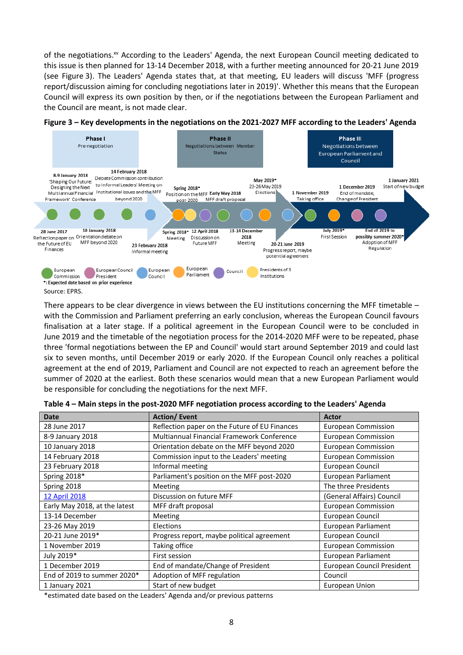of the negotiations.<sup>xv</sup> According to the Leaders' Agenda, the next European Council meeting dedicated to this issue is then planned for 13-14 December 2018, with a further meeting announced for 20-21 June 2019 (see Figure 3). The Leaders' Agenda states that, at that meeting, EU leaders will discuss 'MFF (progress report/discussion aiming for concluding negotiations later in 2019)'. Whether this means that the European Council will express its own position by then, or if the negotiations between the European Parliament and the Council are meant, is not made clear.



#### **Figure 3 – Key developments in the negotiations on the 2021-2027 MFF according to the Leaders' Agenda**

There appears to be clear divergence in views between the EU institutions concerning the MFF timetable – with the Commission and Parliament preferring an early conclusion, whereas the European Council favours finalisation at a later stage. If a political agreement in the European Council were to be concluded in June 2019 and the timetable of the negotiation process for the 2014-2020 MFF were to be repeated, phase three 'formal negotiations between the EP and Council' would start around September 2019 and could last six to seven months, until December 2019 or early 2020. If the European Council only reaches a political agreement at the end of 2019, Parliament and Council are not expected to reach an agreement before the summer of 2020 at the earliest. Both these scenarios would mean that a new European Parliament would be responsible for concluding the negotiations for the next MFF.

| <b>Date</b>                   | <b>Action/Event</b>                               | <b>Actor</b>               |
|-------------------------------|---------------------------------------------------|----------------------------|
| 28 June 2017                  | Reflection paper on the Future of EU Finances     | <b>European Commission</b> |
| 8-9 January 2018              | <b>Multiannual Financial Framework Conference</b> | <b>European Commission</b> |
| 10 January 2018               | Orientation debate on the MFF beyond 2020         | <b>European Commission</b> |
| 14 February 2018              | Commission input to the Leaders' meeting          | European Commission        |
| 23 February 2018              | Informal meeting                                  | European Council           |
| Spring 2018*                  | Parliament's position on the MFF post-2020        | European Parliament        |
| Spring 2018                   | Meeting                                           | The three Presidents       |
| 12 April 2018                 | Discussion on future MFF                          | (General Affairs) Council  |
| Early May 2018, at the latest | MFF draft proposal                                | <b>European Commission</b> |
| 13-14 December                | Meeting                                           | European Council           |
| 23-26 May 2019                | Elections                                         | European Parliament        |
| 20-21 June 2019*              | Progress report, maybe political agreement        | European Council           |
| 1 November 2019               | Taking office                                     | <b>European Commission</b> |
| July 2019*                    | First session                                     | European Parliament        |
| 1 December 2019               | End of mandate/Change of President                | European Council President |
| End of 2019 to summer 2020*   | Adoption of MFF regulation                        | Council                    |
| 1 January 2021                | Start of new budget                               | European Union             |

\*estimated date based on the Leaders' Agenda and/or previous patterns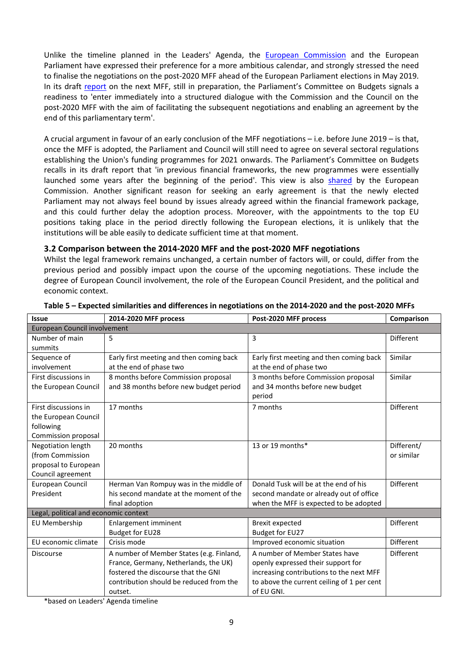Unlike the timeline planned in the Leaders' Agenda, the **[European Commission](https://www.youtube.com/watch?v=kUQgeuRfjhU)** and the European Parliament have expressed their preference for a more ambitious calendar, and strongly stressed the need to finalise the negotiations on the post-2020 MFF ahead of the European Parliament elections in May 2019. In its draft [report](http://www.europarl.europa.eu/oeil/popups/ficheprocedure.do?lang=&reference=2017/2052(INI))) on the next MFF, still in preparation, the Parliament's Committee on Budgets signals a readiness to 'enter immediately into a structured dialogue with the Commission and the Council on the post-2020 MFF with the aim of facilitating the subsequent negotiations and enabling an agreement by the end of this parliamentary term'.

A crucial argument in favour of an early conclusion of the MFF negotiations – i.e. before June 2019 – is that, once the MFF is adopted, the Parliament and Council will still need to agree on several sectoral regulations establishing the Union's funding programmes for 2021 onwards. The Parliament's Committee on Budgets recalls in its draft report that 'in previous financial frameworks, the new programmes were essentially launched some years after the beginning of the period'. This view is also [shared](https://www.youtube.com/watch?v=kUQgeuRfjhU) by the European Commission. Another significant reason for seeking an early agreement is that the newly elected Parliament may not always feel bound by issues already agreed within the financial framework package, and this could further delay the adoption process. Moreover, with the appointments to the top EU positions taking place in the period directly following the European elections, it is unlikely that the institutions will be able easily to dedicate sufficient time at that moment.

### **3.2 Comparison between the 2014-2020 MFF and the post-2020 MFF negotiations**

Whilst the legal framework remains unchanged, a certain number of factors will, or could, differ from the previous period and possibly impact upon the course of the upcoming negotiations. These include the degree of European Council involvement, the role of the European Council President, and the political and economic context.

| <b>Issue</b>                          | 2014-2020 MFF process                    | Post-2020 MFF process                      | Comparison       |  |  |  |  |
|---------------------------------------|------------------------------------------|--------------------------------------------|------------------|--|--|--|--|
| <b>European Council involvement</b>   |                                          |                                            |                  |  |  |  |  |
| Number of main                        | 5                                        | 3                                          | Different        |  |  |  |  |
| summits                               |                                          |                                            |                  |  |  |  |  |
| Sequence of                           | Early first meeting and then coming back | Early first meeting and then coming back   | Similar          |  |  |  |  |
| involvement                           | at the end of phase two                  | at the end of phase two                    |                  |  |  |  |  |
| First discussions in                  | 8 months before Commission proposal      | 3 months before Commission proposal        | Similar          |  |  |  |  |
| the European Council                  | and 38 months before new budget period   | and 34 months before new budget<br>period  |                  |  |  |  |  |
| First discussions in                  | 17 months                                | 7 months                                   | <b>Different</b> |  |  |  |  |
| the European Council                  |                                          |                                            |                  |  |  |  |  |
| following                             |                                          |                                            |                  |  |  |  |  |
| Commission proposal                   |                                          |                                            |                  |  |  |  |  |
| Negotiation length                    | 20 months                                | 13 or 19 months*                           | Different/       |  |  |  |  |
| (from Commission                      |                                          |                                            | or similar       |  |  |  |  |
| proposal to European                  |                                          |                                            |                  |  |  |  |  |
| Council agreement                     |                                          |                                            |                  |  |  |  |  |
| European Council                      | Herman Van Rompuy was in the middle of   | Donald Tusk will be at the end of his      | Different        |  |  |  |  |
| President                             | his second mandate at the moment of the  | second mandate or already out of office    |                  |  |  |  |  |
|                                       | final adoption                           | when the MFF is expected to be adopted     |                  |  |  |  |  |
| Legal, political and economic context |                                          |                                            |                  |  |  |  |  |
| EU Membership                         | <b>Enlargement imminent</b>              | <b>Brexit expected</b>                     | <b>Different</b> |  |  |  |  |
|                                       | <b>Budget for EU28</b>                   | Budget for EU27                            |                  |  |  |  |  |
| EU economic climate                   | Crisis mode                              | Improved economic situation                | Different        |  |  |  |  |
| <b>Discourse</b>                      | A number of Member States (e.g. Finland, | A number of Member States have             | Different        |  |  |  |  |
|                                       | France, Germany, Netherlands, the UK)    | openly expressed their support for         |                  |  |  |  |  |
|                                       | fostered the discourse that the GNI      | increasing contributions to the next MFF   |                  |  |  |  |  |
|                                       | contribution should be reduced from the  | to above the current ceiling of 1 per cent |                  |  |  |  |  |
|                                       | outset.                                  | of EU GNI.                                 |                  |  |  |  |  |

#### **Table 5 – Expected similarities and differences in negotiations on the 2014-2020 and the post-2020 MFFs**

\*based on Leaders' Agenda timeline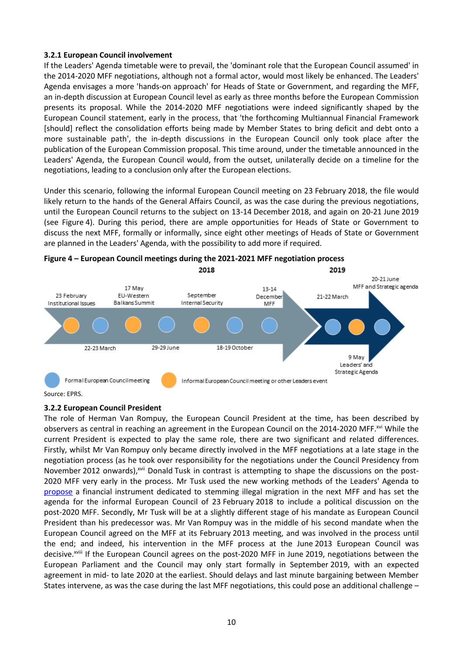#### **3.2.1 European Council involvement**

If the Leaders' Agenda timetable were to prevail, the 'dominant role that the European Council assumed' in the 2014-2020 MFF negotiations, although not a formal actor, would most likely be enhanced. The Leaders' Agenda envisages a more 'hands-on approach' for Heads of State or Government, and regarding the MFF, an in-depth discussion at European Council level as early as three months before the European Commission presents its proposal. While the 2014-2020 MFF negotiations were indeed significantly shaped by the European Council statement, early in the process, that 'the forthcoming Multiannual Financial Framework [should] reflect the consolidation efforts being made by Member States to bring deficit and debt onto a more sustainable path', the in-depth discussions in the European Council only took place after the publication of the European Commission proposal. This time around, under the timetable announced in the Leaders' Agenda, the European Council would, from the outset, unilaterally decide on a timeline for the negotiations, leading to a conclusion only after the European elections.

Under this scenario, following the informal European Council meeting on 23 February 2018, the file would likely return to the hands of the General Affairs Council, as was the case during the previous negotiations, until the European Council returns to the subject on 13-14 December 2018, and again on 20-21 June 2019 (see Figure 4). During this period, there are ample opportunities for Heads of State or Government to discuss the next MFF, formally or informally, since eight other meetings of Heads of State or Government are planned in the Leaders' Agenda, with the possibility to add more if required.



Source: EPRS.

### **3.2.2 European Council President**

The role of Herman Van Rompuy, the European Council President at the time, has been described by observers as central in reaching an agreement in the European Council on the 2014-2020 MFF.<sup>xvi</sup> While the current President is expected to play the same role, there are two significant and related differences. Firstly, whilst Mr Van Rompuy only became directly involved in the MFF negotiations at a late stage in the negotiation process (as he took over responsibility for the negotiations under the Council Presidency from November 2012 onwards), xvii Donald Tusk in contrast is attempting to shape the discussions on the post-2020 MFF very early in the process. Mr Tusk used the new working methods of the Leaders' Agenda to [propose](https://www.consilium.europa.eu/media/32143/en_leaders-agenda-note-on-migration_.pdf) a financial instrument dedicated to stemming illegal migration in the next MFF and has set the agenda for the informal European Council of 23 February 2018 to include a political discussion on the post-2020 MFF. Secondly, Mr Tusk will be at a slightly different stage of his mandate as European Council President than his predecessor was. Mr Van Rompuy was in the middle of his second mandate when the European Council agreed on the MFF at its February 2013 meeting, and was involved in the process until the end; and indeed, his intervention in the MFF process at the June 2013 European Council was decisive.<sup>xviii</sup> If the European Council agrees on the post-2020 MFF in June 2019, negotiations between the European Parliament and the Council may only start formally in September 2019, with an expected agreement in mid- to late 2020 at the earliest. Should delays and last minute bargaining between Member States intervene, as was the case during the last MFF negotiations, this could pose an additional challenge –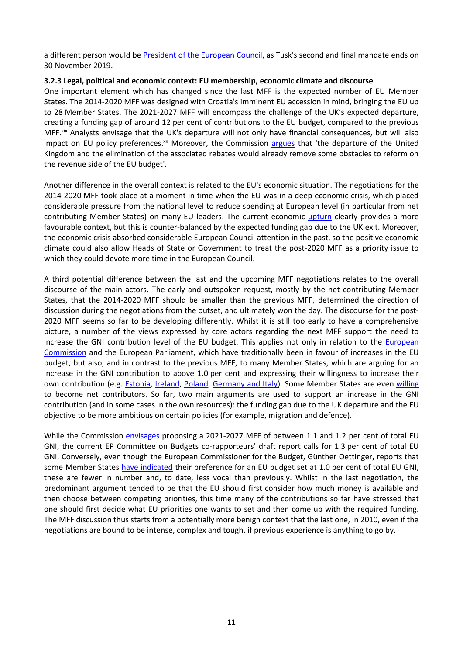a different person would be [President of the European Council,](http://www.europarl.europa.eu/RegData/etudes/BRIE/2016/581404/EPRS_BRI%282016%29581404_EN.pdf) as Tusk's second and final mandate ends on 30 November 2019.

#### **3.2.3 Legal, political and economic context: EU membership, economic climate and discourse**

One important element which has changed since the last MFF is the expected number of EU Member States. The 2014-2020 MFF was designed with Croatia's imminent EU accession in mind, bringing the EU up to 28 Member States. The 2021-2027 MFF will encompass the challenge of the UK's expected departure, creating a funding gap of around 12 per cent of contributions to the EU budget, compared to the previous MFF.<sup>xix</sup> Analysts envisage that the UK's departure will not only have financial consequences, but will also impact on EU policy preferences.<sup>xx</sup> Moreover, the Commission [argues](https://ec.europa.eu/commission/sites/beta-political/files/reflection-paper-eu-finances_en.pdf) that 'the departure of the United Kingdom and the elimination of the associated rebates would already remove some obstacles to reform on the revenue side of the EU budget'.

Another difference in the overall context is related to the EU's economic situation. The negotiations for the 2014-2020 MFF took place at a moment in time when the EU was in a deep economic crisis, which placed considerable pressure from the national level to reduce spending at European level (in particular from net contributing Member States) on many EU leaders. The current economic [upturn](https://ec.europa.eu/epsc/publications/other-publications/europe-back_en?utm_source=POLITICO.EU&utm_campaign=7373de6ac5-EMAIL_CAMPAIGN_2018_01_24&utm_medium=email&utm_term=0_10959edeb5-7373de6ac5-189688461) clearly provides a more favourable context, but this is counter-balanced by the expected funding gap due to the UK exit. Moreover, the economic crisis absorbed considerable European Council attention in the past, so the positive economic climate could also allow Heads of State or Government to treat the post-2020 MFF as a priority issue to which they could devote more time in the European Council.

A third potential difference between the last and the upcoming MFF negotiations relates to the overall discourse of the main actors. The early and outspoken request, mostly by the net contributing Member States, that the 2014-2020 MFF should be smaller than the previous MFF, determined the direction of discussion during the negotiations from the outset, and ultimately won the day. The discourse for the post-2020 MFF seems so far to be developing differently. Whilst it is still too early to have a comprehensive picture, a number of the views expressed by core actors regarding the next MFF support the need to increase the GNI contribution level of the EU budget. This applies not only in relation to the *European* [Commission](https://www.youtube.com/watch?v=QyycD-61wGQ) and the European Parliament, which have traditionally been in favour of increases in the EU budget, but also, and in contrast to the previous MFF, to many Member States, which are arguing for an increase in the GNI contribution to above 1.0 per cent and expressing their willingness to increase their own contribution (e.g. [Estonia,](https://soundcloud.com/politicoeuconfidential/ep30-estonian-president-kersti-kaljulaid-davos-preview-mep-of-the-week) [Ireland,](http://www.europarl.europa.eu/ep-live/en/plenary/video?debate=1516181905672) [Poland,](https://euobserver.com/economic/139415) [Germany and Italy\)](https://www.politico.eu/article/how-to-design-an-eu-budget-migration-financial-framework-brexit/). Some Member States are even [willing](https://www.euractiv.com/section/future-eu/news/hungary-and-poland-defend-larger-european-budget/) to become net contributors. So far, two main arguments are used to support an increase in the GNI contribution (and in some cases in the own resources): the funding gap due to the UK departure and the EU objective to be more ambitious on certain policies (for example, migration and defence).

While the Commission [envisages](https://euobserver.com/institutional/140988) proposing a 2021-2027 MFF of between 1.1 and 1.2 per cent of total EU GNI, the current EP Committee on Budgets co-rapporteurs' draft report calls for 1.3 per cent of total EU GNI. Conversely, even though the European Commissioner for the Budget, Günther Oettinger, reports that some Member States [have indicated](http://www.europarl.europa.eu/ep-live/en/committees/video?event=20180124-1545-COMMITTEE-BUDG) their preference for an EU budget set at 1.0 per cent of total EU GNI, these are fewer in number and, to date, less vocal than previously. Whilst in the last negotiation, the predominant argument tended to be that the EU should first consider how much money is available and then choose between competing priorities, this time many of the contributions so far have stressed that one should first decide what EU priorities one wants to set and then come up with the required funding. The MFF discussion thus starts from a potentially more benign context that the last one, in 2010, even if the negotiations are bound to be intense, complex and tough, if previous experience is anything to go by.